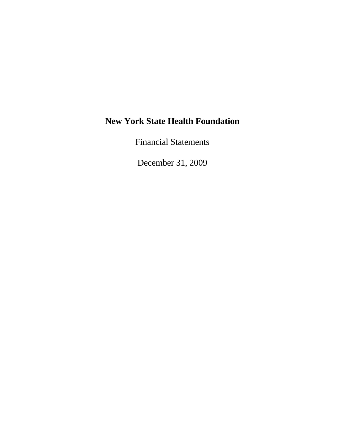Financial Statements

December 31, 2009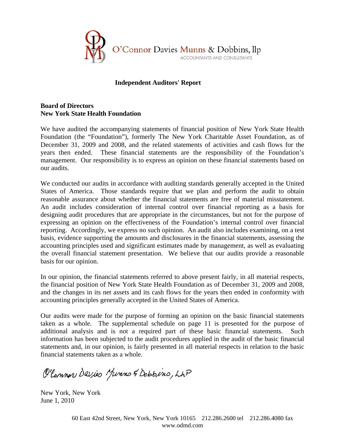

## **Independent Auditors' Report**

## **Board of Directors New York State Health Foundation**

We have audited the accompanying statements of financial position of New York State Health Foundation (the "Foundation"), formerly The New York Charitable Asset Foundation, as of December 31, 2009 and 2008, and the related statements of activities and cash flows for the years then ended. These financial statements are the responsibility of the Foundation's management. Our responsibility is to express an opinion on these financial statements based on our audits.

We conducted our audits in accordance with auditing standards generally accepted in the United States of America. Those standards require that we plan and perform the audit to obtain reasonable assurance about whether the financial statements are free of material misstatement. An audit includes consideration of internal control over financial reporting as a basis for designing audit procedures that are appropriate in the circumstances, but not for the purpose of expressing an opinion on the effectiveness of the Foundation's internal control over financial reporting. Accordingly, we express no such opinion. An audit also includes examining, on a test basis, evidence supporting the amounts and disclosures in the financial statements, assessing the accounting principles used and significant estimates made by management, as well as evaluating the overall financial statement presentation. We believe that our audits provide a reasonable basis for our opinion.

In our opinion, the financial statements referred to above present fairly, in all material respects, the financial position of New York State Health Foundation as of December 31, 2009 and 2008, and the changes in its net assets and its cash flows for the years then ended in conformity with accounting principles generally accepted in the United States of America.

Our audits were made for the purpose of forming an opinion on the basic financial statements taken as a whole. The supplemental schedule on page 11 is presented for the purpose of additional analysis and is not a required part of these basic financial statements. Such information has been subjected to the audit procedures applied in the audit of the basic financial statements and, in our opinion, is fairly presented in all material respects in relation to the basic financial statements taken as a whole.

O'Common Davies Munns & Dobbins, LAP

New York, New York June 1, 2010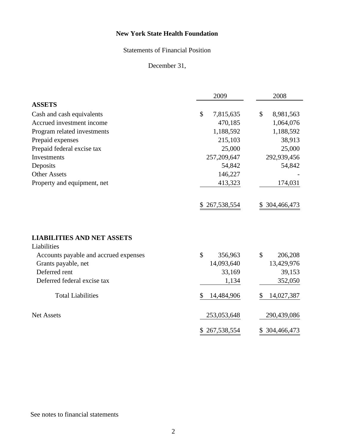Statements of Financial Position

December 31,

|                                       | 2009                | 2008                        |
|---------------------------------------|---------------------|-----------------------------|
| <b>ASSETS</b>                         |                     |                             |
| Cash and cash equivalents             | \$<br>7,815,635     | \$<br>8,981,563             |
| Accrued investment income             | 470,185             | 1,064,076                   |
| Program related investments           | 1,188,592           | 1,188,592                   |
| Prepaid expenses                      | 215,103             | 38,913                      |
| Prepaid federal excise tax            | 25,000              | 25,000                      |
| Investments                           | 257,209,647         | 292,939,456                 |
| Deposits                              | 54,842              | 54,842                      |
| <b>Other Assets</b>                   | 146,227             |                             |
| Property and equipment, net           | 413,323             | 174,031                     |
|                                       | \$267,538,554       | \$ 304,466,473              |
| <b>LIABILITIES AND NET ASSETS</b>     |                     |                             |
| Liabilities                           |                     |                             |
| Accounts payable and accrued expenses | \$<br>356,963       | $\mathcal{S}$<br>206,208    |
| Grants payable, net                   | 14,093,640          | 13,429,976                  |
| Deferred rent                         | 33,169              | 39,153                      |
| Deferred federal excise tax           | 1,134               | 352,050                     |
| <b>Total Liabilities</b>              | \$<br>14,484,906    | 14,027,387<br><sup>\$</sup> |
| <b>Net Assets</b>                     | 253,053,648         | 290,439,086                 |
|                                       | 267, 538, 554<br>\$ | 304,466,473                 |

## See notes to financial statements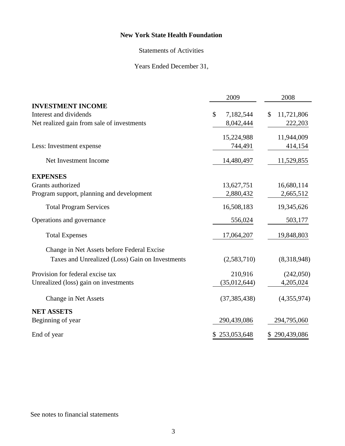# Statements of Activities

# Years Ended December 31,

|                                                 | 2009                       | 2008             |  |
|-------------------------------------------------|----------------------------|------------------|--|
| <b>INVESTMENT INCOME</b>                        |                            |                  |  |
| Interest and dividends                          | $\mathcal{S}$<br>7,182,544 | 11,721,806<br>\$ |  |
| Net realized gain from sale of investments      | 8,042,444                  | 222,203          |  |
|                                                 | 15,224,988                 | 11,944,009       |  |
| Less: Investment expense                        | 744,491                    | 414,154          |  |
| Net Investment Income                           | 14,480,497                 | 11,529,855       |  |
| <b>EXPENSES</b>                                 |                            |                  |  |
| Grants authorized                               | 13,627,751                 | 16,680,114       |  |
| Program support, planning and development       | 2,880,432                  | 2,665,512        |  |
| <b>Total Program Services</b>                   | 16,508,183                 | 19,345,626       |  |
| Operations and governance                       | 556,024                    | 503,177          |  |
| <b>Total Expenses</b>                           | 17,064,207                 | 19,848,803       |  |
| Change in Net Assets before Federal Excise      |                            |                  |  |
| Taxes and Unrealized (Loss) Gain on Investments | (2,583,710)                | (8,318,948)      |  |
| Provision for federal excise tax                | 210,916                    | (242,050)        |  |
| Unrealized (loss) gain on investments           | (35,012,644)               | 4,205,024        |  |
| Change in Net Assets                            | (37, 385, 438)             | (4,355,974)      |  |
| <b>NET ASSETS</b>                               |                            |                  |  |
| Beginning of year                               | 290,439,086                | 294,795,060      |  |
| End of year                                     | \$253,053,648              | \$290,439,086    |  |

# See notes to financial statements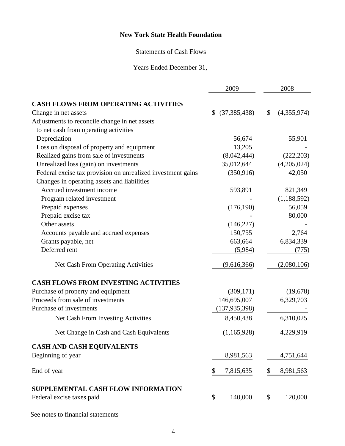## Statements of Cash Flows

Years Ended December 31,

|                                                             | 2009                 | 2008              |  |
|-------------------------------------------------------------|----------------------|-------------------|--|
| <b>CASH FLOWS FROM OPERATING ACTIVITIES</b>                 |                      |                   |  |
| Change in net assets                                        | (37, 385, 438)<br>\$ | \$<br>(4,355,974) |  |
| Adjustments to reconcile change in net assets               |                      |                   |  |
| to net cash from operating activities                       |                      |                   |  |
| Depreciation                                                | 56,674               | 55,901            |  |
| Loss on disposal of property and equipment                  | 13,205               |                   |  |
| Realized gains from sale of investments                     | (8,042,444)          | (222, 203)        |  |
| Unrealized loss (gain) on investments                       | 35,012,644           | (4,205,024)       |  |
| Federal excise tax provision on unrealized investment gains | (350, 916)           | 42,050            |  |
| Changes in operating assets and liabilities                 |                      |                   |  |
| Accrued investment income                                   | 593,891              | 821,349           |  |
| Program related investment                                  |                      | (1, 188, 592)     |  |
| Prepaid expenses                                            | (176, 190)           | 56,059            |  |
| Prepaid excise tax                                          |                      | 80,000            |  |
| Other assets                                                | (146, 227)           |                   |  |
| Accounts payable and accrued expenses                       | 150,755              | 2,764             |  |
| Grants payable, net                                         | 663,664              | 6,834,339         |  |
| Deferred rent                                               | (5,984)              | (775)             |  |
| Net Cash From Operating Activities                          | (9,616,366)          | (2,080,106)       |  |
| <b>CASH FLOWS FROM INVESTING ACTIVITIES</b>                 |                      |                   |  |
| Purchase of property and equipment                          | (309, 171)           | (19,678)          |  |
| Proceeds from sale of investments                           | 146,695,007          | 6,329,703         |  |
| Purchase of investments                                     | (137, 935, 398)      |                   |  |
| Net Cash From Investing Activities                          | 8,450,438            | 6,310,025         |  |
| Net Change in Cash and Cash Equivalents                     | (1,165,928)          | 4,229,919         |  |
| <b>CASH AND CASH EQUIVALENTS</b>                            |                      |                   |  |
| Beginning of year                                           | 8,981,563            | 4,751,644         |  |
| End of year                                                 | \$<br>7,815,635      | 8,981,563<br>\$   |  |
| SUPPLEMENTAL CASH FLOW INFORMATION                          |                      |                   |  |
| Federal excise taxes paid                                   | \$<br>140,000        | \$<br>120,000     |  |

See notes to financial statements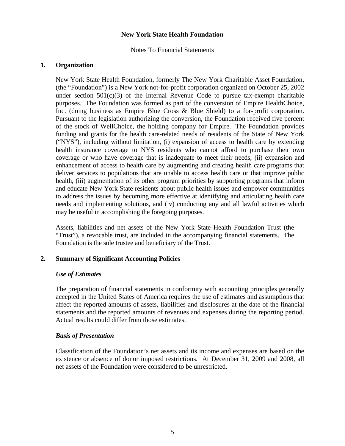#### Notes To Financial Statements

## **1. Organization**

New York State Health Foundation, formerly The New York Charitable Asset Foundation, (the "Foundation") is a New York not-for-profit corporation organized on October 25, 2002 under section  $501(c)(3)$  of the Internal Revenue Code to pursue tax-exempt charitable purposes. The Foundation was formed as part of the conversion of Empire HealthChoice, Inc. (doing business as Empire Blue Cross & Blue Shield) to a for-profit corporation. Pursuant to the legislation authorizing the conversion, the Foundation received five percent of the stock of WellChoice, the holding company for Empire. The Foundation provides funding and grants for the health care-related needs of residents of the State of New York ("NYS"), including without limitation, (i) expansion of access to health care by extending health insurance coverage to NYS residents who cannot afford to purchase their own coverage or who have coverage that is inadequate to meet their needs, (ii) expansion and enhancement of access to health care by augmenting and creating health care programs that deliver services to populations that are unable to access health care or that improve public health, (iii) augmentation of its other program priorities by supporting programs that inform and educate New York State residents about public health issues and empower communities to address the issues by becoming more effective at identifying and articulating health care needs and implementing solutions, and (iv) conducting any and all lawful activities which may be useful in accomplishing the foregoing purposes.

Assets, liabilities and net assets of the New York State Health Foundation Trust (the "Trust"), a revocable trust, are included in the accompanying financial statements. The Foundation is the sole trustee and beneficiary of the Trust.

#### **2. Summary of Significant Accounting Policies**

#### *Use of Estimates*

The preparation of financial statements in conformity with accounting principles generally accepted in the United States of America requires the use of estimates and assumptions that affect the reported amounts of assets, liabilities and disclosures at the date of the financial statements and the reported amounts of revenues and expenses during the reporting period. Actual results could differ from those estimates.

#### *Basis of Presentation*

Classification of the Foundation's net assets and its income and expenses are based on the existence or absence of donor imposed restrictions. At December 31, 2009 and 2008, all net assets of the Foundation were considered to be unrestricted.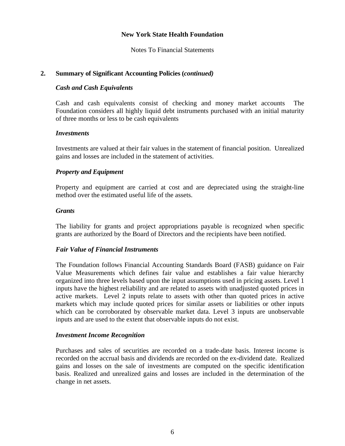Notes To Financial Statements

## **2. Summary of Significant Accounting Policies (***continued)*

## *Cash and Cash Equivalents*

Cash and cash equivalents consist of checking and money market accounts The Foundation considers all highly liquid debt instruments purchased with an initial maturity of three months or less to be cash equivalents

#### *Investments*

 Investments are valued at their fair values in the statement of financial position. Unrealized gains and losses are included in the statement of activities.

## *Property and Equipment*

Property and equipment are carried at cost and are depreciated using the straight-line method over the estimated useful life of the assets.

#### *Grants*

 The liability for grants and project appropriations payable is recognized when specific grants are authorized by the Board of Directors and the recipients have been notified.

## *Fair Value of Financial Instruments*

The Foundation follows Financial Accounting Standards Board (FASB) guidance on Fair Value Measurements which defines fair value and establishes a fair value hierarchy organized into three levels based upon the input assumptions used in pricing assets. Level 1 inputs have the highest reliability and are related to assets with unadjusted quoted prices in active markets. Level 2 inputs relate to assets with other than quoted prices in active markets which may include quoted prices for similar assets or liabilities or other inputs which can be corroborated by observable market data. Level 3 inputs are unobservable inputs and are used to the extent that observable inputs do not exist.

#### *Investment Income Recognition*

Purchases and sales of securities are recorded on a trade-date basis. Interest income is recorded on the accrual basis and dividends are recorded on the ex-dividend date. Realized gains and losses on the sale of investments are computed on the specific identification basis. Realized and unrealized gains and losses are included in the determination of the change in net assets.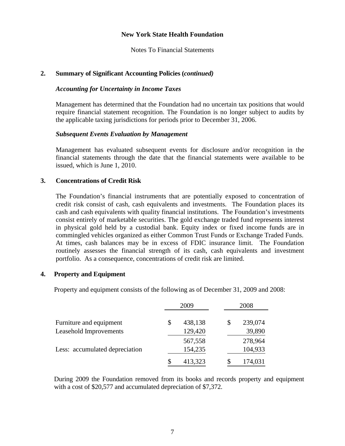Notes To Financial Statements

## **2. Summary of Significant Accounting Policies (***continued)*

## *Accounting for Uncertainty in Income Taxes*

Management has determined that the Foundation had no uncertain tax positions that would require financial statement recognition. The Foundation is no longer subject to audits by the applicable taxing jurisdictions for periods prior to December 31, 2006.

#### *Subsequent Events Evaluation by Management*

Management has evaluated subsequent events for disclosure and/or recognition in the financial statements through the date that the financial statements were available to be issued, which is June 1, 2010.

## **3. Concentrations of Credit Risk**

The Foundation's financial instruments that are potentially exposed to concentration of credit risk consist of cash, cash equivalents and investments. The Foundation places its cash and cash equivalents with quality financial institutions. The Foundation's investments consist entirely of marketable securities. The gold exchange traded fund represents interest in physical gold held by a custodial bank. Equity index or fixed income funds are in commingled vehicles organized as either Common Trust Funds or Exchange Traded Funds. At times, cash balances may be in excess of FDIC insurance limit. The Foundation routinely assesses the financial strength of its cash, cash equivalents and investment portfolio. As a consequence, concentrations of credit risk are limited.

## **4. Property and Equipment**

Property and equipment consists of the following as of December 31, 2009 and 2008:

|                                | 2009 |         | 2008 |         |
|--------------------------------|------|---------|------|---------|
| Furniture and equipment        | \$   | 438,138 | \$   | 239,074 |
| Leasehold Improvements         |      | 129,420 |      | 39,890  |
|                                |      | 567,558 |      | 278,964 |
| Less: accumulated depreciation |      | 154,235 |      | 104,933 |
|                                |      | 413,323 |      | 174,031 |

 During 2009 the Foundation removed from its books and records property and equipment with a cost of \$20,577 and accumulated depreciation of \$7,372.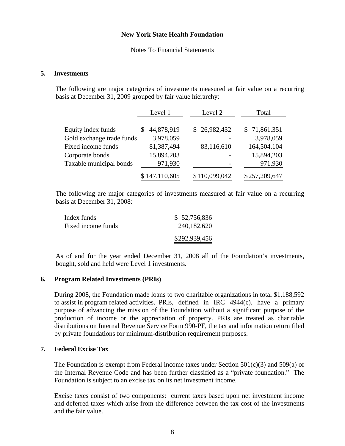#### Notes To Financial Statements

#### **5. Investments**

The following are major categories of investments measured at fair value on a recurring basis at December 31, 2009 grouped by fair value hierarchy:

|                           | Level 1         | Level 2       | Total         |  |
|---------------------------|-----------------|---------------|---------------|--|
|                           |                 |               |               |  |
| Equity index funds        | 44,878,919<br>S | \$26,982,432  | \$71,861,351  |  |
| Gold exchange trade funds | 3,978,059       |               | 3,978,059     |  |
| Fixed income funds        | 81,387,494      | 83,116,610    | 164,504,104   |  |
| Corporate bonds           | 15,894,203      |               | 15,894,203    |  |
| Taxable municipal bonds   | 971,930         |               | 971,930       |  |
|                           | \$147,110,605   | \$110,099,042 | \$257,209,647 |  |

The following are major categories of investments measured at fair value on a recurring basis at December 31, 2008:

| Index funds        | \$52,756,836  |
|--------------------|---------------|
| Fixed income funds | 240, 182, 620 |
|                    | \$292,939,456 |

As of and for the year ended December 31, 2008 all of the Foundation's investments, bought, sold and held were Level 1 investments.

#### **6. Program Related Investments (PRIs)**

During 2008, the Foundation made loans to two charitable organizations in total \$1,188,592 to assist in program related activities. PRIs, defined in IRC 4944(c), have a primary purpose of advancing the mission of the Foundation without a significant purpose of the production of income or the appreciation of property. PRIs are treated as charitable distributions on Internal Revenue Service Form 990-PF, the tax and information return filed by private foundations for minimum-distribution requirement purposes.

#### **7. Federal Excise Tax**

The Foundation is exempt from Federal income taxes under Section  $501(c)(3)$  and  $509(a)$  of the Internal Revenue Code and has been further classified as a "private foundation." The Foundation is subject to an excise tax on its net investment income.

 Excise taxes consist of two components: current taxes based upon net investment income and deferred taxes which arise from the difference between the tax cost of the investments and the fair value.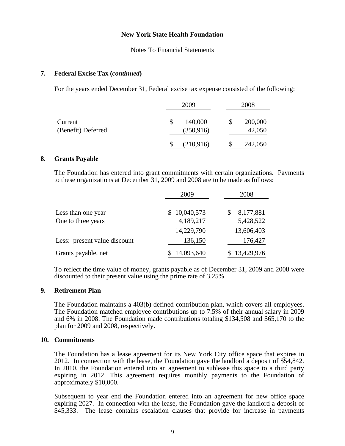#### Notes To Financial Statements

#### **7. Federal Excise Tax (***continued***)**

For the years ended December 31, Federal excise tax expense consisted of the following:

|                               | 2009                  | 2008              |  |
|-------------------------------|-----------------------|-------------------|--|
| Current<br>(Benefit) Deferred | 140,000<br>(350, 916) | 200,000<br>42,050 |  |
|                               | (210,916)             | 242,050           |  |

#### **8. Grants Payable**

 The Foundation has entered into grant commitments with certain organizations. Payments to these organizations at December 31, 2009 and 2008 are to be made as follows:

|                              | 2009         | 2008         |  |
|------------------------------|--------------|--------------|--|
|                              |              |              |  |
| Less than one year           | \$10,040,573 | 8,177,881    |  |
| One to three years           | 4,189,217    | 5,428,522    |  |
|                              | 14,229,790   | 13,606,403   |  |
| Less: present value discount | 136,150      | 176,427      |  |
| Grants payable, net          | 14,093,640   | \$13,429,976 |  |

 To reflect the time value of money, grants payable as of December 31, 2009 and 2008 were discounted to their present value using the prime rate of 3.25%.

#### **9. Retirement Plan**

 The Foundation maintains a 403(b) defined contribution plan, which covers all employees. The Foundation matched employee contributions up to 7.5% of their annual salary in 2009 and 6% in 2008. The Foundation made contributions totaling \$134,508 and \$65,170 to the plan for 2009 and 2008, respectively.

#### **10. Commitments**

 The Foundation has a lease agreement for its New York City office space that expires in 2012. In connection with the lease, the Foundation gave the landlord a deposit of \$54,842. In 2010, the Foundation entered into an agreement to sublease this space to a third party expiring in 2012. This agreement requires monthly payments to the Foundation of approximately \$10,000.

 Subsequent to year end the Foundation entered into an agreement for new office space expiring 2027. In connection with the lease, the Foundation gave the landlord a deposit of \$45,333. The lease contains escalation clauses that provide for increase in payments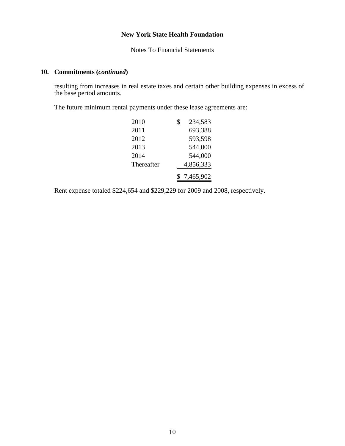Notes To Financial Statements

## **10. Commitments (***continued***)**

 resulting from increases in real estate taxes and certain other building expenses in excess of the base period amounts.

The future minimum rental payments under these lease agreements are:

| 2010       | \$<br>234,583 |
|------------|---------------|
| 2011       | 693,388       |
| 2012       | 593,598       |
| 2013       | 544,000       |
| 2014       | 544,000       |
| Thereafter | 4,856,333     |
|            | \$7,465,902   |

Rent expense totaled \$224,654 and \$229,229 for 2009 and 2008, respectively.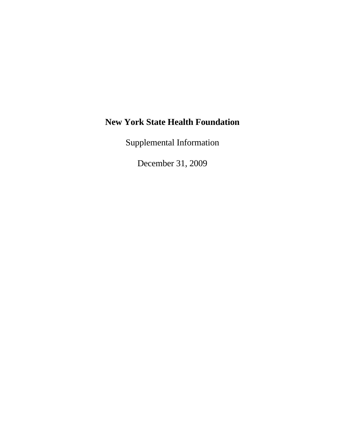Supplemental Information

December 31, 2009